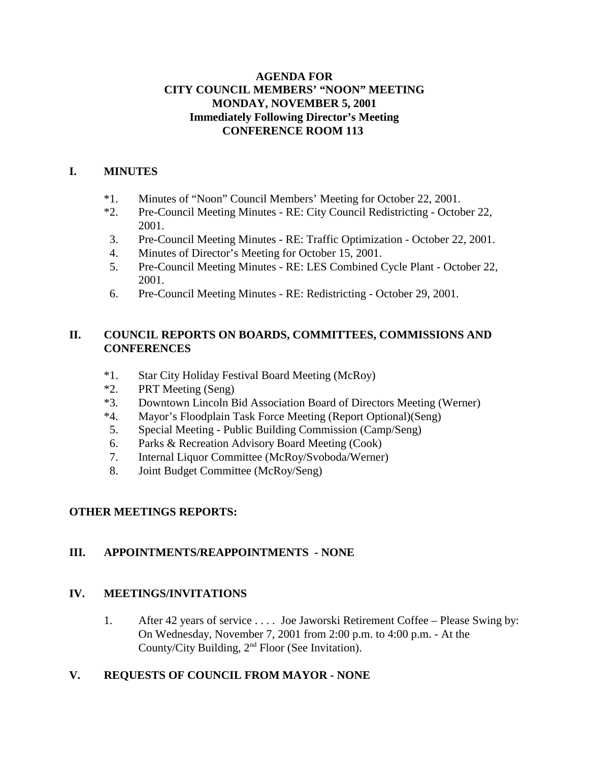#### **AGENDA FOR CITY COUNCIL MEMBERS' "NOON" MEETING MONDAY, NOVEMBER 5, 2001 Immediately Following Director's Meeting CONFERENCE ROOM 113**

#### **I. MINUTES**

- \*1. Minutes of "Noon" Council Members' Meeting for October 22, 2001.
- \*2. Pre-Council Meeting Minutes RE: City Council Redistricting October 22, 2001.
- 3. Pre-Council Meeting Minutes RE: Traffic Optimization October 22, 2001.
- 4. Minutes of Director's Meeting for October 15, 2001.
- 5. Pre-Council Meeting Minutes RE: LES Combined Cycle Plant October 22, 2001.
- 6. Pre-Council Meeting Minutes RE: Redistricting October 29, 2001.

## **II. COUNCIL REPORTS ON BOARDS, COMMITTEES, COMMISSIONS AND CONFERENCES**

- \*1. Star City Holiday Festival Board Meeting (McRoy)
- \*2. PRT Meeting (Seng)
- \*3. Downtown Lincoln Bid Association Board of Directors Meeting (Werner)
- \*4. Mayor's Floodplain Task Force Meeting (Report Optional)(Seng)
- 5. Special Meeting Public Building Commission (Camp/Seng)
- 6. Parks & Recreation Advisory Board Meeting (Cook)
- 7. Internal Liquor Committee (McRoy/Svoboda/Werner)
- 8. Joint Budget Committee (McRoy/Seng)

## **OTHER MEETINGS REPORTS:**

## **III. APPOINTMENTS/REAPPOINTMENTS - NONE**

## **IV. MEETINGS/INVITATIONS**

1. After 42 years of service . . . . Joe Jaworski Retirement Coffee – Please Swing by: On Wednesday, November 7, 2001 from 2:00 p.m. to 4:00 p.m. - At the County/City Building, 2<sup>nd</sup> Floor (See Invitation).

## **V. REQUESTS OF COUNCIL FROM MAYOR - NONE**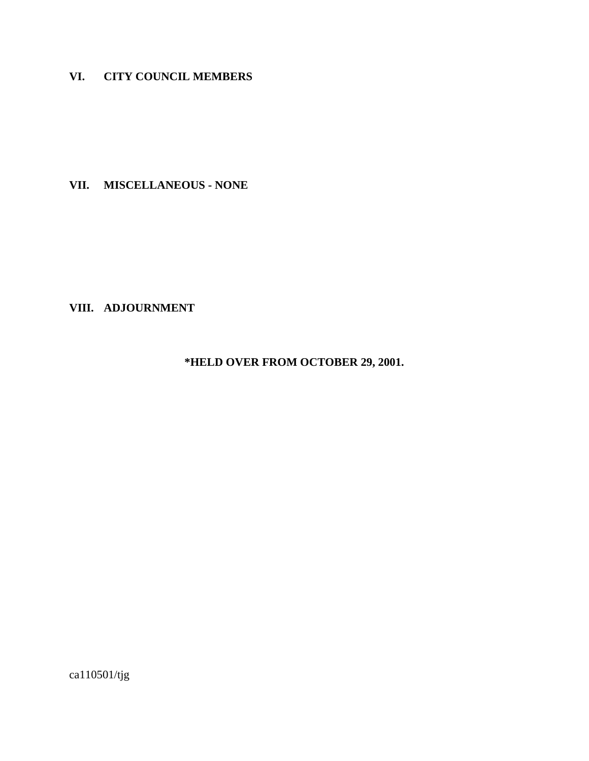## **VI. CITY COUNCIL MEMBERS**

**VII. MISCELLANEOUS - NONE**

**VIII. ADJOURNMENT**

**\*HELD OVER FROM OCTOBER 29, 2001.**

ca110501/tjg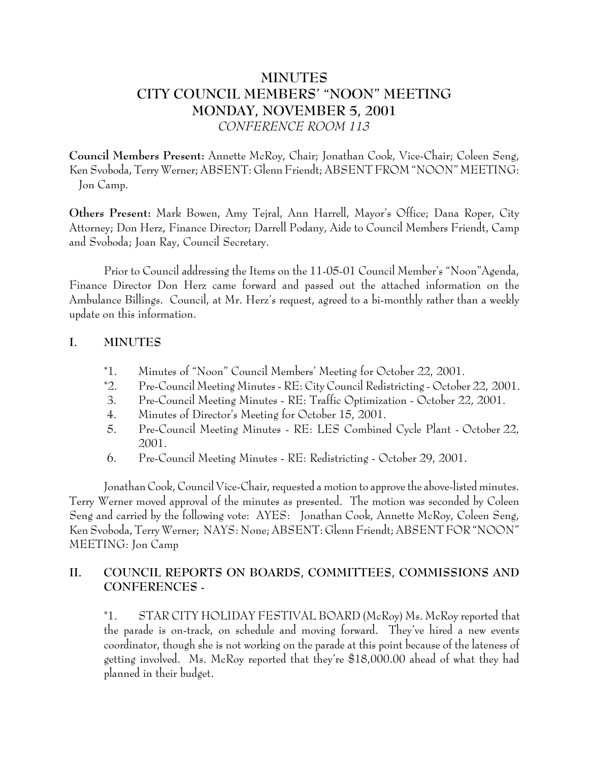# **MINUTES CITY COUNCIL MEMBERS' "NOON" MEETING MONDAY, NOVEMBER 5, 2001** *CONFERENCE ROOM 113*

**Council Members Present:** Annette McRoy, Chair; Jonathan Cook, Vice-Chair; Coleen Seng, Ken Svoboda, Terry Werner; ABSENT: Glenn Friendt; ABSENT FROM "NOON" MEETING: Jon Camp.

**Others Present:** Mark Bowen, Amy Tejral, Ann Harrell, Mayor's Office; Dana Roper, City Attorney; Don Herz, Finance Director; Darrell Podany, Aide to Council Members Friendt, Camp and Svoboda; Joan Ray, Council Secretary.

Prior to Council addressing the Items on the 11-05-01 Council Member's "Noon"Agenda, Finance Director Don Herz came forward and passed out the attached information on the Ambulance Billings. Council, at Mr. Herz's request, agreed to a bi-monthly rather than a weekly update on this information.

#### **I. MINUTES**

- \*1. Minutes of "Noon" Council Members' Meeting for October 22, 2001.
- \*2. Pre-Council Meeting Minutes RE: City Council Redistricting October 22, 2001.
- 3. Pre-Council Meeting Minutes RE: Traffic Optimization October 22, 2001.
- 4. Minutes of Director's Meeting for October 15, 2001.
- 5. Pre-Council Meeting Minutes RE: LES Combined Cycle Plant October 22, 2001.
- 6. Pre-Council Meeting Minutes RE: Redistricting October 29, 2001.

Jonathan Cook, Council Vice-Chair, requested a motion to approve the above-listed minutes. Terry Werner moved approval of the minutes as presented. The motion was seconded by Coleen Seng and carried by the following vote: AYES: Jonathan Cook, Annette McRoy, Coleen Seng, Ken Svoboda, Terry Werner; NAYS: None; ABSENT: Glenn Friendt; ABSENT FOR "NOON" MEETING: Jon Camp

## **II. COUNCIL REPORTS ON BOARDS, COMMITTEES, COMMISSIONS AND CONFERENCES -**

\*1. STAR CITY HOLIDAY FESTIVAL BOARD (McRoy) Ms. McRoy reported that the parade is on-track, on schedule and moving forward. They've hired a new events coordinator, though she is not working on the parade at this point because of the lateness of getting involved. Ms. McRoy reported that they're \$18,000.00 ahead of what they had planned in their budget.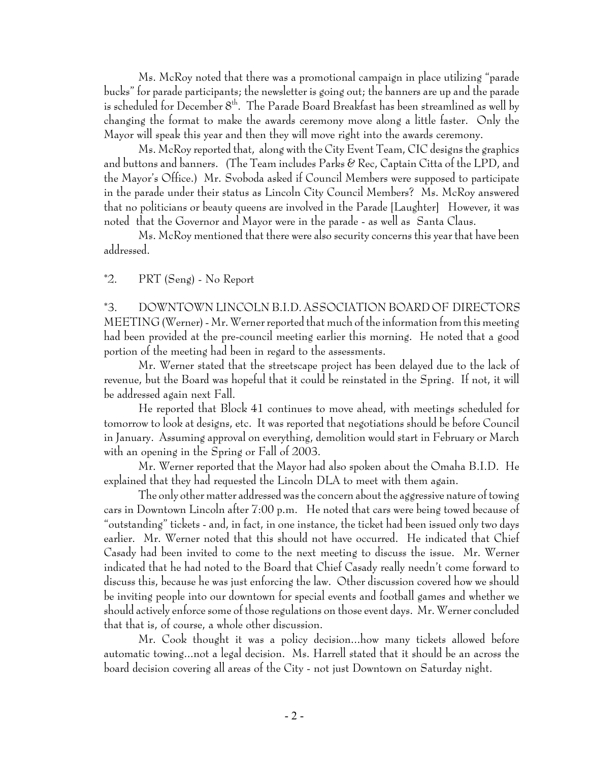Ms. McRoy noted that there was a promotional campaign in place utilizing "parade bucks" for parade participants; the newsletter is going out; the banners are up and the parade is scheduled for December  $8<sup>th</sup>$ . The Parade Board Breakfast has been streamlined as well by changing the format to make the awards ceremony move along a little faster. Only the Mayor will speak this year and then they will move right into the awards ceremony.

Ms. McRoy reported that, along with the City Event Team, CIC designs the graphics and buttons and banners. (The Team includes Parks  $\mathscr C$  Rec, Captain Citta of the LPD, and the Mayor's Office.) Mr. Svoboda asked if Council Members were supposed to participate in the parade under their status as Lincoln City Council Members? Ms. McRoy answered that no politicians or beauty queens are involved in the Parade [Laughter] However, it was noted that the Governor and Mayor were in the parade - as well as Santa Claus.

Ms. McRoy mentioned that there were also security concerns this year that have been addressed.

#### \*2. PRT (Seng) - No Report

\*3. DOWNTOWN LINCOLN B.I.D. ASSOCIATION BOARD OF DIRECTORS MEETING (Werner) - Mr. Werner reported that much of the information from this meeting had been provided at the pre-council meeting earlier this morning. He noted that a good portion of the meeting had been in regard to the assessments.

Mr. Werner stated that the streetscape project has been delayed due to the lack of revenue, but the Board was hopeful that it could be reinstated in the Spring. If not, it will be addressed again next Fall.

He reported that Block 41 continues to move ahead, with meetings scheduled for tomorrow to look at designs, etc. It was reported that negotiations should be before Council in January. Assuming approval on everything, demolition would start in February or March with an opening in the Spring or Fall of 2003.

Mr. Werner reported that the Mayor had also spoken about the Omaha B.I.D. He explained that they had requested the Lincoln DLA to meet with them again.

The only other matter addressed was the concern about the aggressive nature of towing cars in Downtown Lincoln after 7:00 p.m. He noted that cars were being towed because of "outstanding" tickets - and, in fact, in one instance, the ticket had been issued only two days earlier. Mr. Werner noted that this should not have occurred. He indicated that Chief Casady had been invited to come to the next meeting to discuss the issue. Mr. Werner indicated that he had noted to the Board that Chief Casady really needn't come forward to discuss this, because he was just enforcing the law. Other discussion covered how we should be inviting people into our downtown for special events and football games and whether we should actively enforce some of those regulations on those event days. Mr. Werner concluded that that is, of course, a whole other discussion.

Mr. Cook thought it was a policy decision...how many tickets allowed before automatic towing...not a legal decision. Ms. Harrell stated that it should be an across the board decision covering all areas of the City - not just Downtown on Saturday night.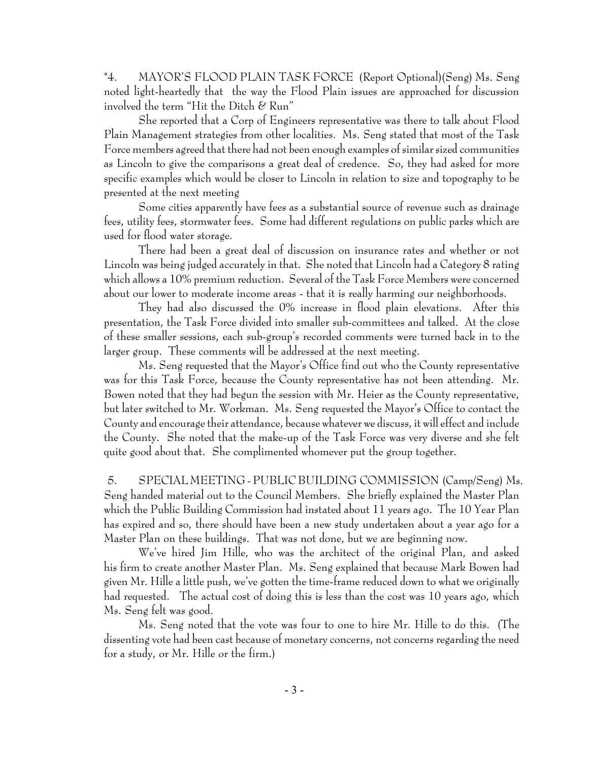\*4. MAYOR'S FLOOD PLAIN TASK FORCE (Report Optional)(Seng) Ms. Seng noted light-heartedly that the way the Flood Plain issues are approached for discussion involved the term "Hit the Ditch  $\mathcal C$  Run"

She reported that a Corp of Engineers representative was there to talk about Flood Plain Management strategies from other localities. Ms. Seng stated that most of the Task Force members agreed that there had not been enough examples of similar sized communities as Lincoln to give the comparisons a great deal of credence. So, they had asked for more specific examples which would be closer to Lincoln in relation to size and topography to be presented at the next meeting

Some cities apparently have fees as a substantial source of revenue such as drainage fees, utility fees, stormwater fees. Some had different regulations on public parks which are used for flood water storage.

There had been a great deal of discussion on insurance rates and whether or not Lincoln was being judged accurately in that. She noted that Lincoln had a Category 8 rating which allows a 10% premium reduction. Several of the Task Force Members were concerned about our lower to moderate income areas - that it is really harming our neighborhoods.

They had also discussed the 0% increase in flood plain elevations. After this presentation, the Task Force divided into smaller sub-committees and talked. At the close of these smaller sessions, each sub-group's recorded comments were turned back in to the larger group. These comments will be addressed at the next meeting.

Ms. Seng requested that the Mayor's Office find out who the County representative was for this Task Force, because the County representative has not been attending. Mr. Bowen noted that they had begun the session with Mr. Heier as the County representative, but later switched to Mr. Workman. Ms. Seng requested the Mayor's Office to contact the County and encourage their attendance, because whatever we discuss, it will effect and include the County. She noted that the make-up of the Task Force was very diverse and she felt quite good about that. She complimented whomever put the group together.

 5. SPECIAL MEETING - PUBLIC BUILDING COMMISSION (Camp/Seng) Ms. Seng handed material out to the Council Members. She briefly explained the Master Plan which the Public Building Commission had instated about 11 years ago. The 10 Year Plan has expired and so, there should have been a new study undertaken about a year ago for a Master Plan on these buildings. That was not done, but we are beginning now.

We've hired Jim Hille, who was the architect of the original Plan, and asked his firm to create another Master Plan. Ms. Seng explained that because Mark Bowen had given Mr. Hille a little push, we've gotten the time-frame reduced down to what we originally had requested. The actual cost of doing this is less than the cost was 10 years ago, which Ms. Seng felt was good.

Ms. Seng noted that the vote was four to one to hire Mr. Hille to do this. (The dissenting vote had been cast because of monetary concerns, not concerns regarding the need for a study, or Mr. Hille or the firm.)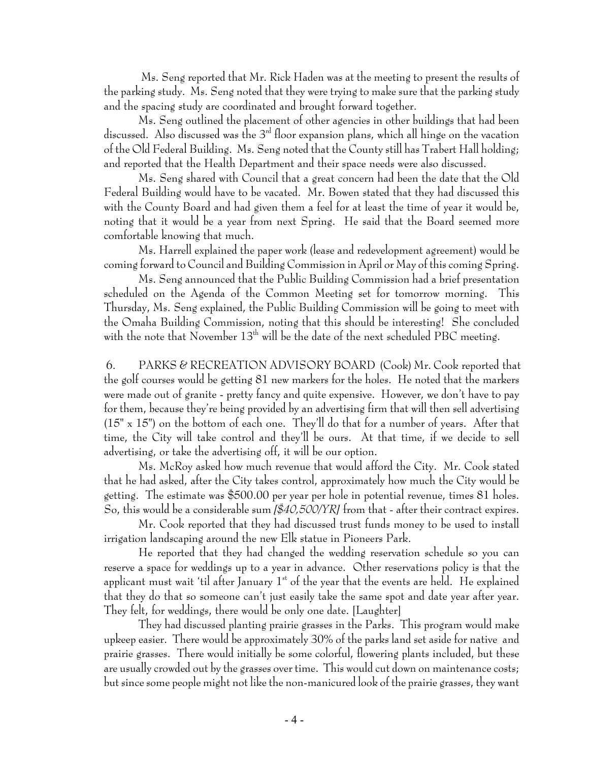Ms. Seng reported that Mr. Rick Haden was at the meeting to present the results of the parking study. Ms. Seng noted that they were trying to make sure that the parking study and the spacing study are coordinated and brought forward together.

Ms. Seng outlined the placement of other agencies in other buildings that had been discussed. Also discussed was the 3<sup>rd</sup> floor expansion plans, which all hinge on the vacation of the Old Federal Building. Ms. Seng noted that the County still has Trabert Hall holding; and reported that the Health Department and their space needs were also discussed.

Ms. Seng shared with Council that a great concern had been the date that the Old Federal Building would have to be vacated. Mr. Bowen stated that they had discussed this with the County Board and had given them a feel for at least the time of year it would be, noting that it would be a year from next Spring. He said that the Board seemed more comfortable knowing that much.

Ms. Harrell explained the paper work (lease and redevelopment agreement) would be coming forward to Council and Building Commission in April or May of this coming Spring.

Ms. Seng announced that the Public Building Commission had a brief presentation scheduled on the Agenda of the Common Meeting set for tomorrow morning. This Thursday, Ms. Seng explained, the Public Building Commission will be going to meet with the Omaha Building Commission, noting that this should be interesting! She concluded with the note that November 13th will be the date of the next scheduled PBC meeting.

 6. PARKS & RECREATION ADVISORY BOARD (Cook) Mr. Cook reported that the golf courses would be getting 81 new markers for the holes. He noted that the markers were made out of granite - pretty fancy and quite expensive. However, we don't have to pay for them, because they're being provided by an advertising firm that will then sell advertising (15" x 15") on the bottom of each one. They'll do that for a number of years. After that time, the City will take control and they'll be ours. At that time, if we decide to sell advertising, or take the advertising off, it will be our option.

Ms. McRoy asked how much revenue that would afford the City. Mr. Cook stated that he had asked, after the City takes control, approximately how much the City would be getting. The estimate was \$500.00 per year per hole in potential revenue, times 81 holes. So, this would be a considerable sum *[\$40,500/YR]* from that - after their contract expires.

Mr. Cook reported that they had discussed trust funds money to be used to install irrigation landscaping around the new Elk statue in Pioneers Park.

He reported that they had changed the wedding reservation schedule so you can reserve a space for weddings up to a year in advance. Other reservations policy is that the applicant must wait 'til after January  $1<sup>st</sup>$  of the year that the events are held. He explained that they do that so someone can't just easily take the same spot and date year after year. They felt, for weddings, there would be only one date. [Laughter]

They had discussed planting prairie grasses in the Parks. This program would make upkeep easier. There would be approximately 30% of the parks land set aside for native and prairie grasses. There would initially be some colorful, flowering plants included, but these are usually crowded out by the grasses over time. This would cut down on maintenance costs; but since some people might not like the non-manicured look of the prairie grasses, they want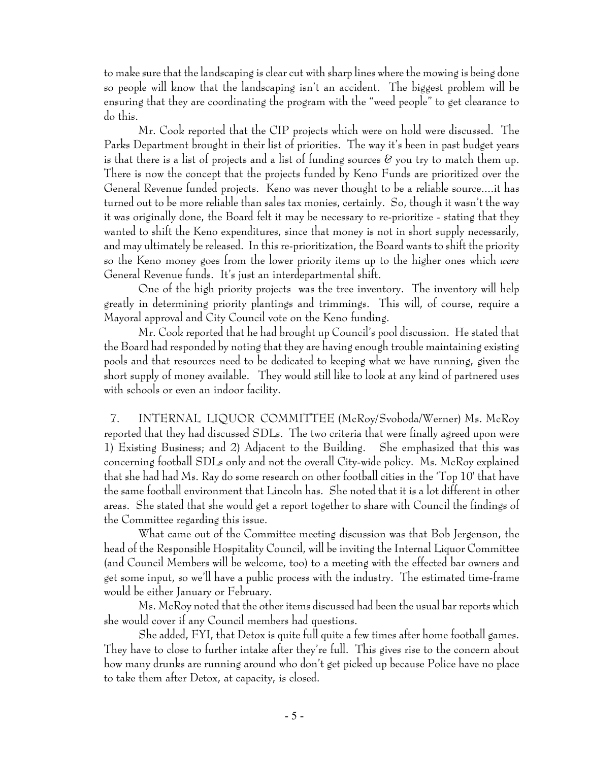to make sure that the landscaping is clear cut with sharp lines where the mowing is being done so people will know that the landscaping isn't an accident. The biggest problem will be ensuring that they are coordinating the program with the "weed people" to get clearance to do this.

Mr. Cook reported that the CIP projects which were on hold were discussed. The Parks Department brought in their list of priorities. The way it's been in past budget years is that there is a list of projects and a list of funding sources  $\mathscr C$  you try to match them up. There is now the concept that the projects funded by Keno Funds are prioritized over the General Revenue funded projects. Keno was never thought to be a reliable source....it has turned out to be more reliable than sales tax monies, certainly. So, though it wasn't the way it was originally done, the Board felt it may be necessary to re-prioritize - stating that they wanted to shift the Keno expenditures, since that money is not in short supply necessarily, and may ultimately be released. In this re-prioritization, the Board wants to shift the priority so the Keno money goes from the lower priority items up to the higher ones which *were* General Revenue funds. It's just an interdepartmental shift.

One of the high priority projects was the tree inventory. The inventory will help greatly in determining priority plantings and trimmings. This will, of course, require a Mayoral approval and City Council vote on the Keno funding.

Mr. Cook reported that he had brought up Council's pool discussion. He stated that the Board had responded by noting that they are having enough trouble maintaining existing pools and that resources need to be dedicated to keeping what we have running, given the short supply of money available. They would still like to look at any kind of partnered uses with schools or even an indoor facility.

 7. INTERNAL LIQUOR COMMITTEE (McRoy/Svoboda/Werner) Ms. McRoy reported that they had discussed SDLs. The two criteria that were finally agreed upon were 1) Existing Business; and 2) Adjacent to the Building. She emphasized that this was concerning football SDLs only and not the overall City-wide policy. Ms. McRoy explained that she had had Ms. Ray do some research on other football cities in the 'Top 10' that have the same football environment that Lincoln has. She noted that it is a lot different in other areas. She stated that she would get a report together to share with Council the findings of the Committee regarding this issue.

What came out of the Committee meeting discussion was that Bob Jergenson, the head of the Responsible Hospitality Council, will be inviting the Internal Liquor Committee (and Council Members will be welcome, too) to a meeting with the effected bar owners and get some input, so we'll have a public process with the industry. The estimated time-frame would be either January or February.

Ms. McRoy noted that the other items discussed had been the usual bar reports which she would cover if any Council members had questions.

She added, FYI, that Detox is quite full quite a few times after home football games. They have to close to further intake after they're full. This gives rise to the concern about how many drunks are running around who don't get picked up because Police have no place to take them after Detox, at capacity, is closed.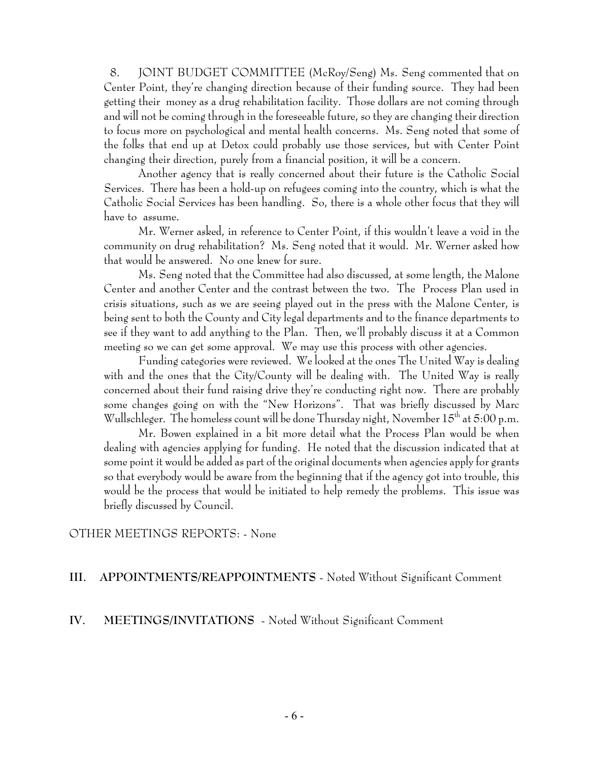8. JOINT BUDGET COMMITTEE (McRoy/Seng) Ms. Seng commented that on Center Point, they're changing direction because of their funding source. They had been getting their money as a drug rehabilitation facility. Those dollars are not coming through and will not be coming through in the foreseeable future, so they are changing their direction to focus more on psychological and mental health concerns. Ms. Seng noted that some of the folks that end up at Detox could probably use those services, but with Center Point changing their direction, purely from a financial position, it will be a concern.

Another agency that is really concerned about their future is the Catholic Social Services. There has been a hold-up on refugees coming into the country, which is what the Catholic Social Services has been handling. So, there is a whole other focus that they will have to assume.

Mr. Werner asked, in reference to Center Point, if this wouldn't leave a void in the community on drug rehabilitation? Ms. Seng noted that it would. Mr. Werner asked how that would be answered. No one knew for sure.

Ms. Seng noted that the Committee had also discussed, at some length, the Malone Center and another Center and the contrast between the two. The Process Plan used in crisis situations, such as we are seeing played out in the press with the Malone Center, is being sent to both the County and City legal departments and to the finance departments to see if they want to add anything to the Plan. Then, we'll probably discuss it at a Common meeting so we can get some approval. We may use this process with other agencies.

Funding categories were reviewed. We looked at the ones The United Way is dealing with and the ones that the City/County will be dealing with. The United Way is really concerned about their fund raising drive they're conducting right now. There are probably some changes going on with the "New Horizons". That was briefly discussed by Marc Wullschleger. The homeless count will be done Thursday night, November  $15<sup>th</sup>$  at  $5:00$  p.m.

Mr. Bowen explained in a bit more detail what the Process Plan would be when dealing with agencies applying for funding. He noted that the discussion indicated that at some point it would be added as part of the original documents when agencies apply for grants so that everybody would be aware from the beginning that if the agency got into trouble, this would be the process that would be initiated to help remedy the problems. This issue was briefly discussed by Council.

#### OTHER MEETINGS REPORTS: - None

#### **III. APPOINTMENTS/REAPPOINTMENTS** - Noted Without Significant Comment

#### **IV. MEETINGS/INVITATIONS** - Noted Without Significant Comment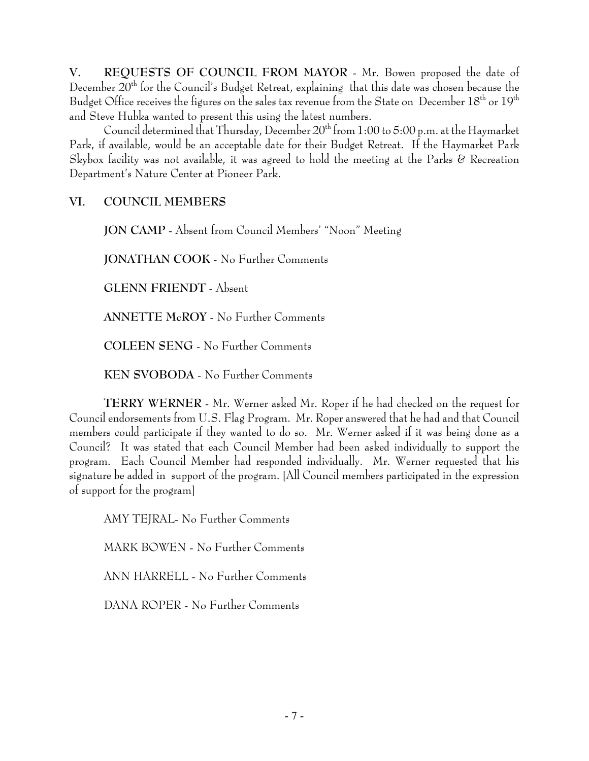**V. REQUESTS OF COUNCIL FROM MAYOR** - Mr. Bowen proposed the date of December 20<sup>th</sup> for the Council's Budget Retreat, explaining that this date was chosen because the Budget Office receives the figures on the sales tax revenue from the State on December 18<sup>th</sup> or 19<sup>th</sup> and Steve Hubka wanted to present this using the latest numbers.

Council determined that Thursday, December 20<sup>th</sup> from 1:00 to 5:00 p.m. at the Haymarket Park, if available, would be an acceptable date for their Budget Retreat. If the Haymarket Park Skybox facility was not available, it was agreed to hold the meeting at the Parks  $\&$  Recreation Department's Nature Center at Pioneer Park.

## **VI. COUNCIL MEMBERS**

**JON CAMP** - Absent from Council Members' "Noon" Meeting

**JONATHAN COOK** - No Further Comments

**GLENN FRIENDT** - Absent

**ANNETTE McROY** - No Further Comments

**COLEEN SENG** - No Further Comments

**KEN SVOBODA** - No Further Comments

**TERRY WERNER** - Mr. Werner asked Mr. Roper if he had checked on the request for Council endorsements from U.S. Flag Program. Mr. Roper answered that he had and that Council members could participate if they wanted to do so. Mr. Werner asked if it was being done as a Council? It was stated that each Council Member had been asked individually to support the program. Each Council Member had responded individually. Mr. Werner requested that his signature be added in support of the program. [All Council members participated in the expression of support for the program]

AMY TEJRAL- No Further Comments MARK BOWEN - No Further Comments

ANN HARRELL - No Further Comments

DANA ROPER - No Further Comments